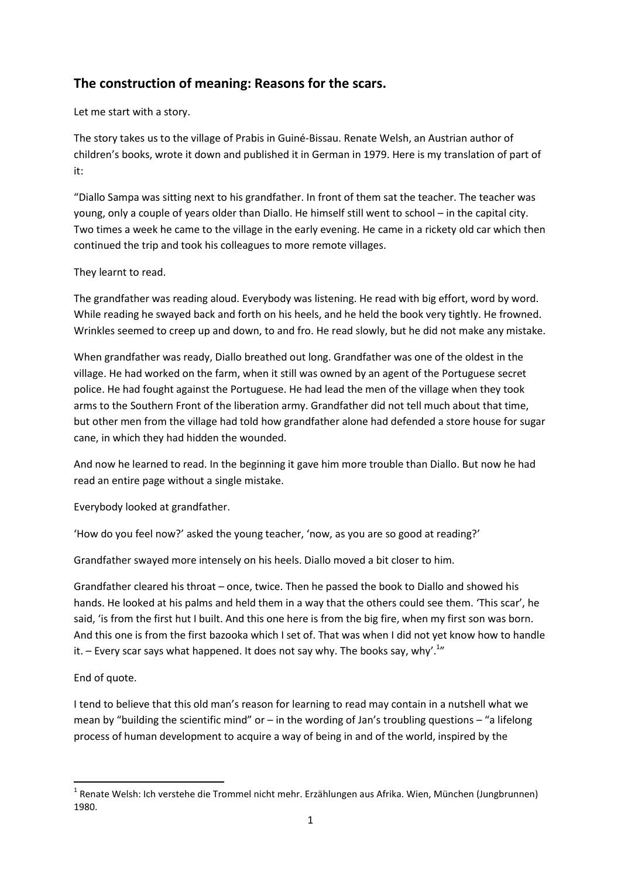# **The construction of meaning: Reasons for the scars.**

Let me start with a story.

The story takes us to the village of Prabis in Guiné-Bissau. Renate Welsh, an Austrian author of children's books, wrote it down and published it in German in 1979. Here is my translation of part of it:

"Diallo Sampa was sitting next to his grandfather. In front of them sat the teacher. The teacher was young, only a couple of years older than Diallo. He himself still went to school – in the capital city. Two times a week he came to the village in the early evening. He came in a rickety old car which then continued the trip and took his colleagues to more remote villages.

## They learnt to read.

The grandfather was reading aloud. Everybody was listening. He read with big effort, word by word. While reading he swayed back and forth on his heels, and he held the book very tightly. He frowned. Wrinkles seemed to creep up and down, to and fro. He read slowly, but he did not make any mistake.

When grandfather was ready, Diallo breathed out long. Grandfather was one of the oldest in the village. He had worked on the farm, when it still was owned by an agent of the Portuguese secret police. He had fought against the Portuguese. He had lead the men of the village when they took arms to the Southern Front of the liberation army. Grandfather did not tell much about that time, but other men from the village had told how grandfather alone had defended a store house for sugar cane, in which they had hidden the wounded.

And now he learned to read. In the beginning it gave him more trouble than Diallo. But now he had read an entire page without a single mistake.

Everybody looked at grandfather.

'How do you feel now?' asked the young teacher, 'now, as you are so good at reading?'

Grandfather swayed more intensely on his heels. Diallo moved a bit closer to him.

Grandfather cleared his throat – once, twice. Then he passed the book to Diallo and showed his hands. He looked at his palms and held them in a way that the others could see them. 'This scar', he said, 'is from the first hut I built. And this one here is from the big fire, when my first son was born. And this one is from the first bazooka which I set of. That was when I did not yet know how to handle it.  $-$  Every scar says what happened. It does not say why. The books say, why'.<sup>1</sup>"

#### End of quote.

1

I tend to believe that this old man's reason for learning to read may contain in a nutshell what we mean by "building the scientific mind" or  $-$  in the wording of Jan's troubling questions  $-$  "a lifelong process of human development to acquire a way of being in and of the world, inspired by the

<sup>&</sup>lt;sup>1</sup> Renate Welsh: Ich verstehe die Trommel nicht mehr. Erzählungen aus Afrika. Wien, München (Jungbrunnen) 1980.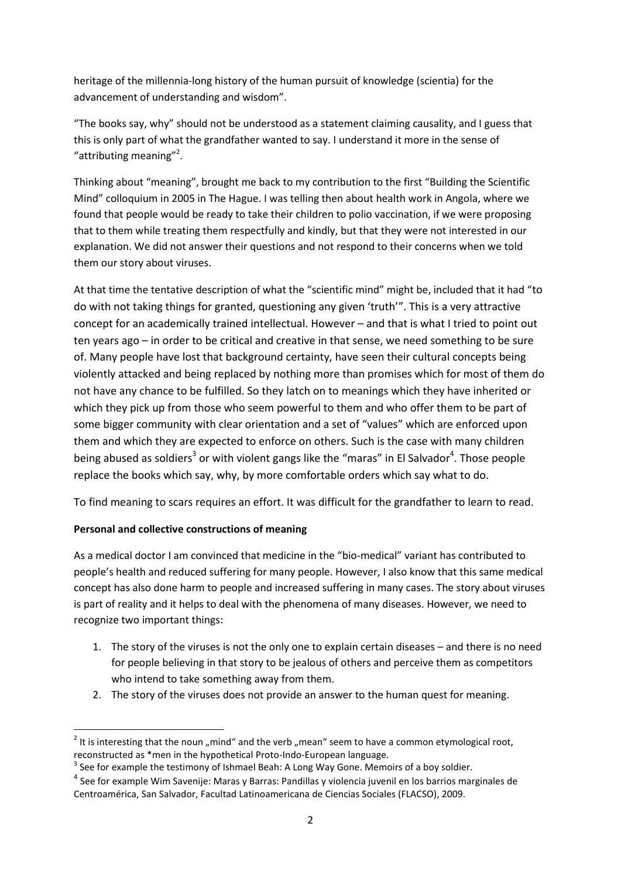heritage of the millennia-long history of the human pursuit of knowledge (scientia) for the advancement of understanding and wisdom".

"The books say, why" should not be understood as a statement claiming causality, and I guess that this is only part of what the grandfather wanted to say. I understand it more in the sense of "attributing meaning"<sup>2</sup>.

Thinking about "meaning", brought me back to my contribution to the first "Building the Scientific Mind" colloquium in 2005 in The Hague. I was telling then about health work in Angola, where we found that people would be ready to take their children to polio vaccination, if we were proposing that to them while treating them respectfully and kindly, but that they were not interested in our explanation. We did not answer their questions and not respond to their concerns when we told them our story about viruses.

At that time the tentative description of what the "scientific mind" might be, included that it had "to do with not taking things for granted, questioning any given 'truth'". This is a very attractive concept for an academically trained intellectual. However – and that is what I tried to point out ten years ago – in order to be critical and creative in that sense, we need something to be sure of. Many people have lost that background certainty, have seen their cultural concepts being violently attacked and being replaced by nothing more than promises which for most of them do not have any chance to be fulfilled. So they latch on to meanings which they have inherited or which they pick up from those who seem powerful to them and who offer them to be part of some bigger community with clear orientation and a set of "values" which are enforced upon them and which they are expected to enforce on others. Such is the case with many children being abused as soldiers<sup>3</sup> or with violent gangs like the "maras" in El Salvador<sup>4</sup>. Those people replace the books which say, why, by more comfortable orders which say what to do.

To find meaning to scars requires an effort. It was difficult for the grandfather to learn to read.

#### **Personal and collective constructions of meaning**

**.** 

As a medical doctor I am convinced that medicine in the "bio-medical" variant has contributed to people's health and reduced suffering for many people. However, I also know that this same medical concept has also done harm to people and increased suffering in many cases. The story about viruses is part of reality and it helps to deal with the phenomena of many diseases. However, we need to recognize two important things:

- 1. The story of the viruses is not the only one to explain certain diseases and there is no need for people believing in that story to be jealous of others and perceive them as competitors who intend to take something away from them.
- 2. The story of the viruses does not provide an answer to the human quest for meaning.

 $2$  It is interesting that the noun "mind" and the verb "mean" seem to have a common etymological root, reconstructed as \*men in the hypothetical Proto-Indo-European language.

 $3$  See for example the testimony of Ishmael Beah: A Long Way Gone. Memoirs of a boy soldier.

<sup>&</sup>lt;sup>4</sup> See for example Wim Savenije: Maras y Barras: Pandillas y violencia juvenil en los barrios marginales de Centroamérica, San Salvador, Facultad Latinoamericana de Ciencias Sociales (FLACSO), 2009.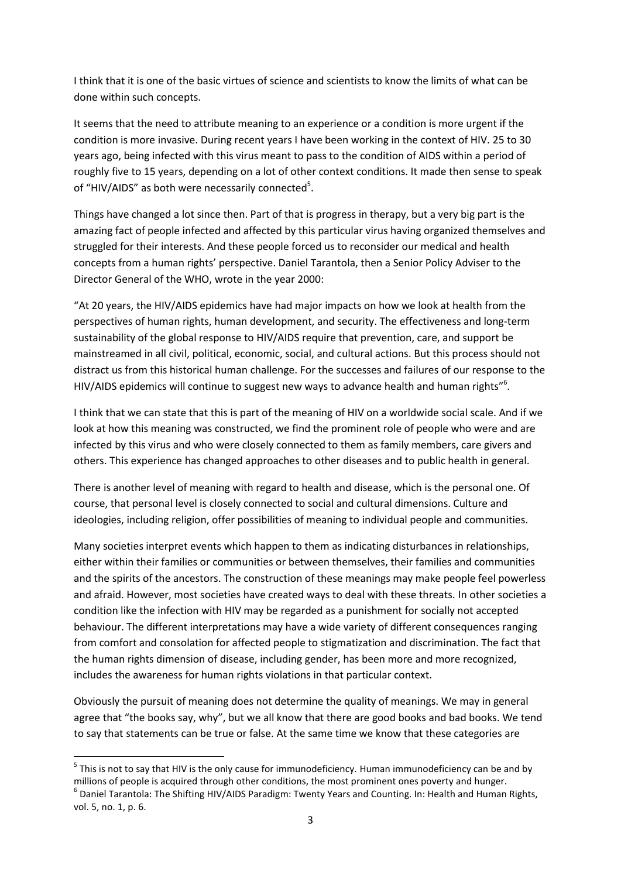I think that it is one of the basic virtues of science and scientists to know the limits of what can be done within such concepts.

It seems that the need to attribute meaning to an experience or a condition is more urgent if the condition is more invasive. During recent years I have been working in the context of HIV. 25 to 30 years ago, being infected with this virus meant to pass to the condition of AIDS within a period of roughly five to 15 years, depending on a lot of other context conditions. It made then sense to speak of "HIV/AIDS" as both were necessarily connected<sup>5</sup>.

Things have changed a lot since then. Part of that is progress in therapy, but a very big part is the amazing fact of people infected and affected by this particular virus having organized themselves and struggled for their interests. And these people forced us to reconsider our medical and health concepts from a human rights' perspective. Daniel Tarantola, then a Senior Policy Adviser to the Director General of the WHO, wrote in the year 2000:

"At 20 years, the HIV/AIDS epidemics have had major impacts on how we look at health from the perspectives of human rights, human development, and security. The effectiveness and long-term sustainability of the global response to HIV/AIDS require that prevention, care, and support be mainstreamed in all civil, political, economic, social, and cultural actions. But this process should not distract us from this historical human challenge. For the successes and failures of our response to the HIV/AIDS epidemics will continue to suggest new ways to advance health and human rights"<sup>6</sup>.

I think that we can state that this is part of the meaning of HIV on a worldwide social scale. And if we look at how this meaning was constructed, we find the prominent role of people who were and are infected by this virus and who were closely connected to them as family members, care givers and others. This experience has changed approaches to other diseases and to public health in general.

There is another level of meaning with regard to health and disease, which is the personal one. Of course, that personal level is closely connected to social and cultural dimensions. Culture and ideologies, including religion, offer possibilities of meaning to individual people and communities.

Many societies interpret events which happen to them as indicating disturbances in relationships, either within their families or communities or between themselves, their families and communities and the spirits of the ancestors. The construction of these meanings may make people feel powerless and afraid. However, most societies have created ways to deal with these threats. In other societies a condition like the infection with HIV may be regarded as a punishment for socially not accepted behaviour. The different interpretations may have a wide variety of different consequences ranging from comfort and consolation for affected people to stigmatization and discrimination. The fact that the human rights dimension of disease, including gender, has been more and more recognized, includes the awareness for human rights violations in that particular context.

Obviously the pursuit of meaning does not determine the quality of meanings. We may in general agree that "the books say, why", but we all know that there are good books and bad books. We tend to say that statements can be true or false. At the same time we know that these categories are

**.** 

<sup>&</sup>lt;sup>5</sup> This is not to say that HIV is the only cause for immunodeficiency. Human immunodeficiency can be and by millions of people is acquired through other conditions, the most prominent ones poverty and hunger.

 $^6$  Daniel Tarantola: The Shifting HIV/AIDS Paradigm: Twenty Years and Counting. In: Health and Human Rights, vol. 5, no. 1, p. 6.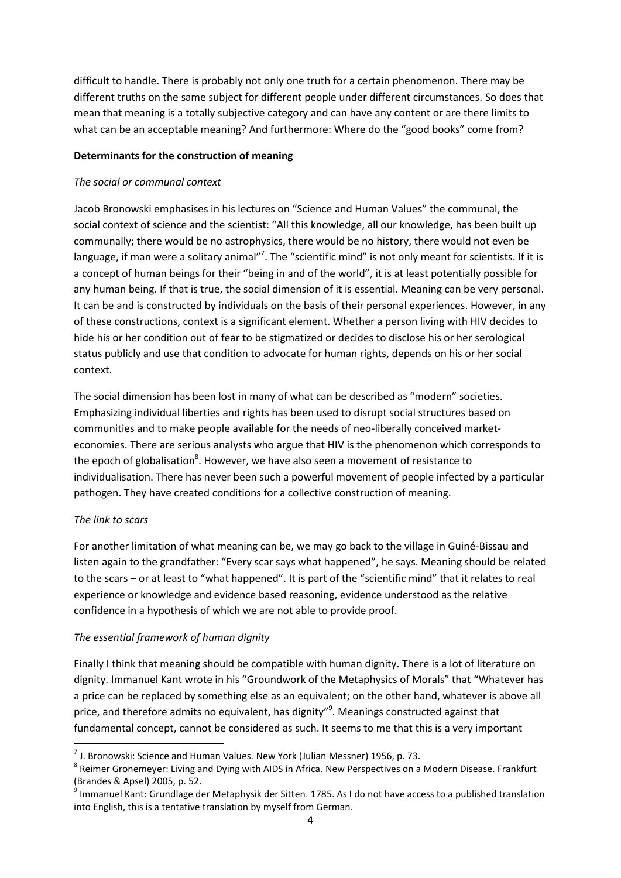difficult to handle. There is probably not only one truth for a certain phenomenon. There may be different truths on the same subject for different people under different circumstances. So does that mean that meaning is a totally subjective category and can have any content or are there limits to what can be an acceptable meaning? And furthermore: Where do the "good books" come from?

#### **Determinants for the construction of meaning**

### *The social or communal context*

Jacob Bronowski emphasises in his lectures on "Science and Human Values" the communal, the social context of science and the scientist: "All this knowledge, all our knowledge, has been built up communally; there would be no astrophysics, there would be no history, there would not even be language, if man were a solitary animal"<sup>7</sup>. The "scientific mind" is not only meant for scientists. If it is a concept of human beings for their "being in and of the world", it is at least potentially possible for any human being. If that is true, the social dimension of it is essential. Meaning can be very personal. It can be and is constructed by individuals on the basis of their personal experiences. However, in any of these constructions, context is a significant element. Whether a person living with HIV decides to hide his or her condition out of fear to be stigmatized or decides to disclose his or her serological status publicly and use that condition to advocate for human rights, depends on his or her social context.

The social dimension has been lost in many of what can be described as "modern" societies. Emphasizing individual liberties and rights has been used to disrupt social structures based on communities and to make people available for the needs of neo-liberally conceived marketeconomies. There are serious analysts who argue that HIV is the phenomenon which corresponds to the epoch of globalisation<sup>8</sup>. However, we have also seen a movement of resistance to individualisation. There has never been such a powerful movement of people infected by a particular pathogen. They have created conditions for a collective construction of meaning.

# *The link to scars*

**.** 

For another limitation of what meaning can be, we may go back to the village in Guiné-Bissau and listen again to the grandfather: "Every scar says what happened", he says. Meaning should be related to the scars – or at least to "what happened". It is part of the "scientific mind" that it relates to real experience or knowledge and evidence based reasoning, evidence understood as the relative confidence in a hypothesis of which we are not able to provide proof.

# *The essential framework of human dignity*

Finally I think that meaning should be compatible with human dignity. There is a lot of literature on dignity. Immanuel Kant wrote in his "Groundwork of the Metaphysics of Morals" that "Whatever has a price can be replaced by something else as an equivalent; on the other hand, whatever is above all price, and therefore admits no equivalent, has dignity"<sup>9</sup>. Meanings constructed against that fundamental concept, cannot be considered as such. It seems to me that this is a very important

 $^7$  J. Bronowski: Science and Human Values. New York (Julian Messner) 1956, p. 73.

<sup>&</sup>lt;sup>8</sup> Reimer Gronemeyer: Living and Dying with AIDS in Africa. New Perspectives on a Modern Disease. Frankfurt (Brandes & Apsel) 2005, p. 52.

<sup>9</sup> Immanuel Kant: Grundlage der Metaphysik der Sitten. 1785. As I do not have access to a published translation into English, this is a tentative translation by myself from German.